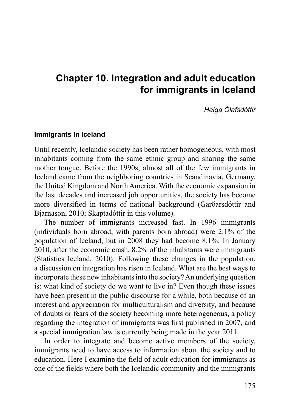# **Chapter 10. Integration and adult education for immigrants in Iceland**

#### *Helga Ólafsdóttir*

#### **Immigrants in Iceland**

Until recently, Icelandic society has been rather homogeneous, with most inhabitants coming from the same ethnic group and sharing the same mother tongue. Before the 1990s, almost all of the few immigrants in Iceland came from the neighboring countries in Scandinavia, Germany, the United Kingdom and North America. With the economic expansion in the last decades and increased job opportunities, the society has become more diversified in terms of national background (Garðarsdóttir and Bjarnason, 2010; Skaptadóttir in this volume).

The number of immigrants increased fast. In 1996 immigrants (individuals born abroad, with parents born abroad) were 2.1% of the population of Iceland, but in 2008 they had become 8.1%. In January 2010, after the economic crash, 8.2% of the inhabitants were immigrants (Statistics Iceland, 2010). Following these changes in the population, a discussion on integration has risen in Iceland. What are the best ways to incorporate these new inhabitants into the society? An underlying question is: what kind of society do we want to live in? Even though these issues have been present in the public discourse for a while, both because of an interest and appreciation for multiculturalism and diversity, and because of doubts or fears of the society becoming more heterogeneous, a policy regarding the integration of immigrants was first published in 2007, and a special immigration law is currently being made in the year 2011.

In order to integrate and become active members of the society, immigrants need to have access to information about the society and to education. Here I examine the field of adult education for immigrants as one of the fields where both the Icelandic community and the immigrants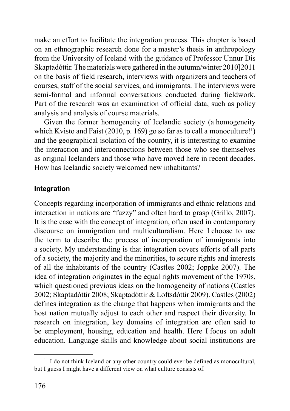make an effort to facilitate the integration process. This chapter is based on an ethnographic research done for a master's thesis in anthropology from the University of Iceland with the guidance of Professor Unnur Dís Skaptadóttir. The materials were gathered in the autumn/winter 2010]2011 on the basis of field research, interviews with organizers and teachers of courses, staff of the social services, and immigrants. The interviews were semi-formal and informal conversations conducted during fieldwork. Part of the research was an examination of official data, such as policy analysis and analysis of course materials.

Given the former homogeneity of Icelandic society (a homogeneity which Kvisto and Faist (2010, p. 169) go so far as to call a monoculture!<sup>1</sup>) and the geographical isolation of the country, it is interesting to examine the interaction and interconnections between those who see themselves as original Icelanders and those who have moved here in recent decades. How has Icelandic society welcomed new inhabitants?

## **Integration**

Concepts regarding incorporation of immigrants and ethnic relations and interaction in nations are "fuzzy" and often hard to grasp (Grillo, 2007). It is the case with the concept of integration, often used in contemporary discourse on immigration and multiculturalism. Here I choose to use the term to describe the process of incorporation of immigrants into a society. My understanding is that integration covers efforts of all parts of a society, the majority and the minorities, to secure rights and interests of all the inhabitants of the country (Castles 2002; Joppke 2007). The idea of integration originates in the equal rights movement of the 1970s, which questioned previous ideas on the homogeneity of nations (Castles 2002; Skaptadóttir 2008; Skaptadóttir & Loftsdóttir 2009). Castles (2002) defines integration as the change that happens when immigrants and the host nation mutually adjust to each other and respect their diversity. In research on integration, key domains of integration are often said to be employment, housing, education and health. Here I focus on adult education. Language skills and knowledge about social institutions are

<sup>&</sup>lt;sup>1</sup> I do not think Iceland or any other country could ever be defined as monocultural, but I guess I might have a different view on what culture consists of.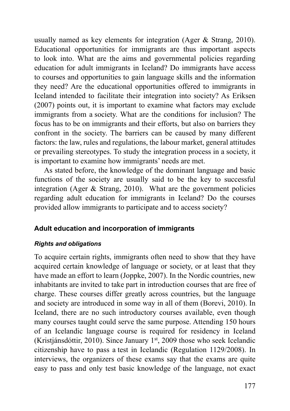usually named as key elements for integration (Ager & Strang, 2010). Educational opportunities for immigrants are thus important aspects to look into. What are the aims and governmental policies regarding education for adult immigrants in Iceland? Do immigrants have access to courses and opportunities to gain language skills and the information they need? Are the educational opportunities offered to immigrants in Iceland intended to facilitate their integration into society? As Eriksen (2007) points out, it is important to examine what factors may exclude immigrants from a society. What are the conditions for inclusion? The focus has to be on immigrants and their efforts, but also on barriers they confront in the society. The barriers can be caused by many different factors: the law, rules and regulations, the labour market, general attitudes or prevailing stereotypes. To study the integration process in a society, it is important to examine how immigrants' needs are met.

As stated before, the knowledge of the dominant language and basic functions of the society are usually said to be the key to successful integration (Ager  $&$  Strang, 2010). What are the government policies regarding adult education for immigrants in Iceland? Do the courses provided allow immigrants to participate and to access society?

### **Adult education and incorporation of immigrants**

#### *Rights and obligations*

To acquire certain rights, immigrants often need to show that they have acquired certain knowledge of language or society, or at least that they have made an effort to learn (Joppke, 2007). In the Nordic countries, new inhabitants are invited to take part in introduction courses that are free of charge. These courses differ greatly across countries, but the language and society are introduced in some way in all of them (Borevi, 2010). In Iceland, there are no such introductory courses available, even though many courses taught could serve the same purpose. Attending 150 hours of an Icelandic language course is required for residency in Iceland (Kristjánsdóttir, 2010). Since January  $1<sup>st</sup>$ , 2009 those who seek Icelandic citizenship have to pass a test in Icelandic (Regulation 1129/2008). In interviews, the organizers of these exams say that the exams are quite easy to pass and only test basic knowledge of the language, not exact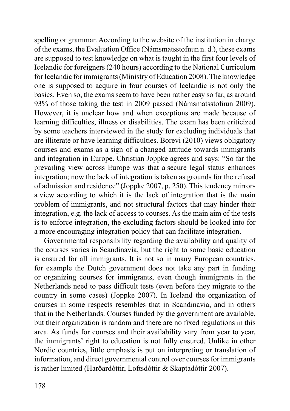spelling or grammar. According to the website of the institution in charge of the exams, the Evaluation Office (Námsmatsstofnun n. d.), these exams are supposed to test knowledge on what is taught in the first four levels of Icelandic for foreigners (240 hours) according to the National Curriculum for Icelandic for immigrants (Ministry of Education 2008). The knowledge one is supposed to acquire in four courses of Icelandic is not only the basics. Even so, the exams seem to have been rather easy so far, as around 93% of those taking the test in 2009 passed (Námsmatsstofnun 2009). However, it is unclear how and when exceptions are made because of learning difficulties, illness or disabilities. The exam has been criticized by some teachers interviewed in the study for excluding individuals that are illiterate or have learning difficulties. Borevi (2010) views obligatory courses and exams as a sign of a changed attitude towards immigrants and integration in Europe. Christian Joppke agrees and says: "So far the prevailing view across Europe was that a secure legal status enhances integration; now the lack of integration is taken as grounds for the refusal of admission and residence" (Joppke 2007, p. 250). This tendency mirrors a view according to which it is the lack of integration that is the main problem of immigrants, and not structural factors that may hinder their integration, e.g. the lack of access to courses. As the main aim of the tests is to enforce integration, the excluding factors should be looked into for a more encouraging integration policy that can facilitate integration.

Governmental responsibility regarding the availability and quality of the courses varies in Scandinavia, but the right to some basic education is ensured for all immigrants. It is not so in many European countries, for example the Dutch government does not take any part in funding or organizing courses for immigrants, even though immigrants in the Netherlands need to pass difficult tests (even before they migrate to the country in some cases) (Joppke 2007). In Iceland the organization of courses in some respects resembles that in Scandinavia, and in others that in the Netherlands. Courses funded by the government are available, but their organization is random and there are no fixed regulations in this area. As funds for courses and their availability vary from year to year, the immigrants' right to education is not fully ensured. Unlike in other Nordic countries, little emphasis is put on interpreting or translation of information, and direct governmental control over courses for immigrants is rather limited (Harðardóttir, Loftsdóttir & Skaptadóttir 2007).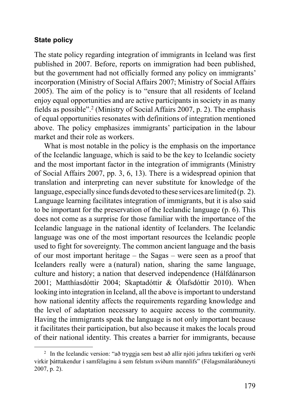#### **State policy**

The state policy regarding integration of immigrants in Iceland was first published in 2007. Before, reports on immigration had been published, but the government had not officially formed any policy on immigrants' incorporation (Ministry of Social Affairs 2007; Ministry of Social Affairs 2005). The aim of the policy is to "ensure that all residents of Iceland enjoy equal opportunities and are active participants in society in as many fields as possible".<sup>2</sup> (Ministry of Social Affairs 2007, p. 2). The emphasis of equal opportunities resonates with definitions of integration mentioned above. The policy emphasizes immigrants' participation in the labour market and their role as workers.

What is most notable in the policy is the emphasis on the importance of the Icelandic language, which is said to be the key to Icelandic society and the most important factor in the integration of immigrants (Ministry of Social Affairs 2007, pp. 3, 6, 13). There is a widespread opinion that translation and interpreting can never substitute for knowledge of the language, especially since funds devoted to these services are limited (p. 2). Language learning facilitates integration of immigrants, but it is also said to be important for the preservation of the Icelandic language (p. 6). This does not come as a surprise for those familiar with the importance of the Icelandic language in the national identity of Icelanders. The Icelandic language was one of the most important resources the Icelandic people used to fight for sovereignty. The common ancient language and the basis of our most important heritage – the Sagas – were seen as a proof that Icelanders really were a (natural) nation, sharing the same language, culture and history; a nation that deserved independence (Hálfdánarson 2001; Matthíasdóttir 2004; Skaptadóttir & Ólafsdóttir 2010). When looking into integration in Iceland, all the above is important to understand how national identity affects the requirements regarding knowledge and the level of adaptation necessary to acquire access to the community. Having the immigrants speak the language is not only important because it facilitates their participation, but also because it makes the locals proud of their national identity. This creates a barrier for immigrants, because

<sup>2</sup> In the Icelandic version: "að tryggja sem best að allir njóti jafnra tækifæri og verði virkir þátttakendur í samfélaginu á sem felstum sviðum mannlífs" (Félagsmálaráðuneyti 2007, p. 2).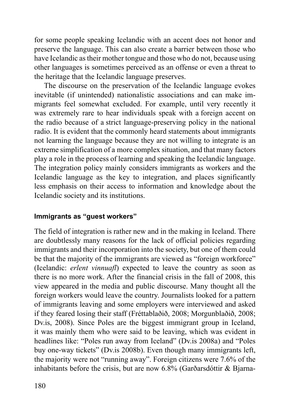for some people speaking Icelandic with an accent does not honor and preserve the language. This can also create a barrier between those who have Icelandic as their mother tongue and those who do not, because using other languages is sometimes perceived as an offense or even a threat to the heritage that the Icelandic language preserves.

The discourse on the preservation of the Icelandic language evokes inevitable (if unintended) nationalistic associations and can make immigrants feel somewhat excluded. For example, until very recently it was extremely rare to hear individuals speak with a foreign accent on the radio because of a strict language-preserving policy in the national radio. It is evident that the commonly heard statements about immigrants not learning the language because they are not willing to integrate is an extreme simplification of a more complex situation, and that many factors play a role in the process of learning and speaking the Icelandic language. The integration policy mainly considers immigrants as workers and the Icelandic language as the key to integration, and places significantly less emphasis on their access to information and knowledge about the Icelandic society and its institutions.

## **Immigrants as "guest workers"**

The field of integration is rather new and in the making in Iceland. There are doubtlessly many reasons for the lack of official policies regarding immigrants and their incorporation into the society, but one of them could be that the majority of the immigrants are viewed as "foreign workforce" (Icelandic: *erlent vinnuafl*) expected to leave the country as soon as there is no more work. After the financial crisis in the fall of 2008, this view appeared in the media and public discourse. Many thought all the foreign workers would leave the country. Journalists looked for a pattern of immigrants leaving and some employers were interviewed and asked if they feared losing their staff (Fréttablaðið, 2008; Morgunblaðið, 2008; Dv.is, 2008). Since Poles are the biggest immigrant group in Iceland, it was mainly them who were said to be leaving, which was evident in headlines like: "Poles run away from Iceland" (Dv.is 2008a) and "Poles buy one-way tickets" (Dv.is 2008b). Even though many immigrants left, the majority were not "running away". Foreign citizens were 7.6% of the inhabitants before the crisis, but are now  $6.8\%$  (Garðarsdóttir & Biarna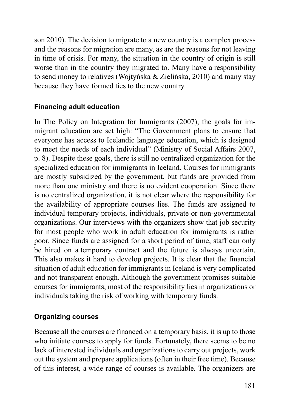son 2010). The decision to migrate to a new country is a complex process and the reasons for migration are many, as are the reasons for not leaving in time of crisis. For many, the situation in the country of origin is still worse than in the country they migrated to. Many have a responsibility to send money to relatives (Wojtyńska & Zielińska, 2010) and many stay because they have formed ties to the new country.

## **Financing adult education**

In The Policy on Integration for Immigrants (2007), the goals for immigrant education are set high: "The Government plans to ensure that everyone has access to Icelandic language education, which is designed to meet the needs of each individual" (Ministry of Social Affairs 2007, p. 8). Despite these goals, there is still no centralized organization for the specialized education for immigrants in Iceland. Courses for immigrants are mostly subsidized by the government, but funds are provided from more than one ministry and there is no evident cooperation. Since there is no centralized organization, it is not clear where the responsibility for the availability of appropriate courses lies. The funds are assigned to individual temporary projects, individuals, private or non-governmental organizations. Our interviews with the organizers show that job security for most people who work in adult education for immigrants is rather poor. Since funds are assigned for a short period of time, staff can only be hired on a temporary contract and the future is always uncertain. This also makes it hard to develop projects. It is clear that the financial situation of adult education for immigrants in Iceland is very complicated and not transparent enough. Although the government promises suitable courses for immigrants, most of the responsibility lies in organizations or individuals taking the risk of working with temporary funds.

## **Organizing courses**

Because all the courses are financed on a temporary basis, it is up to those who initiate courses to apply for funds. Fortunately, there seems to be no lack of interested individuals and organizations to carry out projects, work out the system and prepare applications (often in their free time). Because of this interest, a wide range of courses is available. The organizers are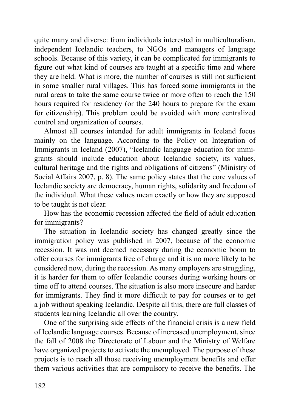quite many and diverse: from individuals interested in multiculturalism, independent Icelandic teachers, to NGOs and managers of language schools. Because of this variety, it can be complicated for immigrants to figure out what kind of courses are taught at a specific time and where they are held. What is more, the number of courses is still not sufficient in some smaller rural villages. This has forced some immigrants in the rural areas to take the same course twice or more often to reach the 150 hours required for residency (or the 240 hours to prepare for the exam for citizenship). This problem could be avoided with more centralized control and organization of courses.

Almost all courses intended for adult immigrants in Iceland focus mainly on the language. According to the Policy on Integration of Immigrants in Iceland (2007), "Icelandic language education for immigrants should include education about Icelandic society, its values, cultural heritage and the rights and obligations of citizens" (Ministry of Social Affairs 2007, p. 8). The same policy states that the core values of Icelandic society are democracy, human rights, solidarity and freedom of the individual. What these values mean exactly or how they are supposed to be taught is not clear.

How has the economic recession affected the field of adult education for immigrants?

The situation in Icelandic society has changed greatly since the immigration policy was published in 2007, because of the economic recession. It was not deemed necessary during the economic boom to offer courses for immigrants free of charge and it is no more likely to be considered now, during the recession. As many employers are struggling, it is harder for them to offer Icelandic courses during working hours or time off to attend courses. The situation is also more insecure and harder for immigrants. They find it more difficult to pay for courses or to get a job without speaking Icelandic. Despite all this, there are full classes of students learning Icelandic all over the country.

One of the surprising side effects of the financial crisis is a new field of Icelandic language courses. Because of increased unemployment, since the fall of 2008 the Directorate of Labour and the Ministry of Welfare have organized projects to activate the unemployed. The purpose of these projects is to reach all those receiving unemployment benefits and offer them various activities that are compulsory to receive the benefits. The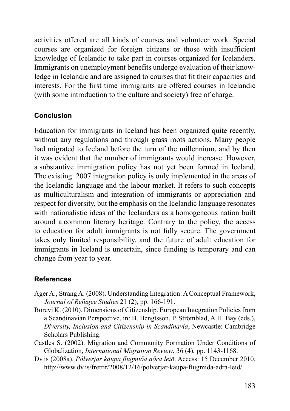activities offered are all kinds of courses and volunteer work. Special courses are organized for foreign citizens or those with insufficient knowledge of Icelandic to take part in courses organized for Icelanders. Immigrants on unemployment benefits undergo evaluation of their knowledge in Icelandic and are assigned to courses that fit their capacities and interests. For the first time immigrants are offered courses in Icelandic (with some introduction to the culture and society) free of charge.

## **Conclusion**

Education for immigrants in Iceland has been organized quite recently, without any regulations and through grass roots actions. Many people had migrated to Iceland before the turn of the millennium, and by then it was evident that the number of immigrants would increase. However, a substantive immigration policy has not yet been formed in Iceland. The existing 2007 integration policy is only implemented in the areas of the Icelandic language and the labour market. It refers to such concepts as multiculturalism and integration of immigrants or appreciation and respect for diversity, but the emphasis on the Icelandic language resonates with nationalistic ideas of the Icelanders as a homogeneous nation built around a common literary heritage. Contrary to the policy, the access to education for adult immigrants is not fully secure. The government takes only limited responsibility, and the future of adult education for immigrants in Iceland is uncertain, since funding is temporary and can change from year to year.

### **References**

- Ager A., Strang A. (2008). Understanding Integration: A Conceptual Framework, *Journal of Refugee Studies* 21 (2), pp. 166-191.
- Borevi K. (2010). Dimensions of Citizenship. European Integration Policies from a Scandinavian Perspective, in: B. Bengtsson, P. Strömblad, A.H. Bay (eds.), *Diversity, Inclusion and Citizenship in Scandinavia*, Newcastle: Cambridge Scholars Publishing.
- Castles S. (2002). Migration and Community Formation Under Conditions of Glo balization, *International Migration Review*, 36 (4), pp. 1143*-*1168.
- Dv.is (2008a). *Pólverjar kaupa flugmiða aðra leið*. Access: 15 December 2010, http://www.dv.is/frettir/2008/12/16/polverjar-kaupa-flugmida-adra-leid/.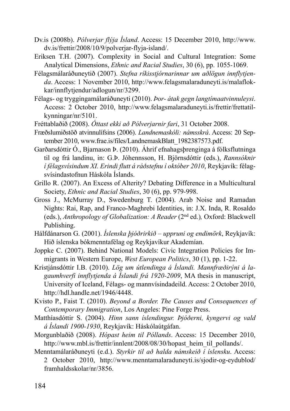- Dv.is (2008b). *Pólverjar flýja Ísland*. Access: 15 December 2010, http://www. dv.is/frettir/2008/10/9/polverjar-flyja-island/.
- Eriksen T.H. (2007). Complexity in Social and Cultural Integration: Some Analytical Dimensions, *Ethnic and Racial Studies*, 30 (6), pp. 1055*-*1069.
- Félagsmálaráðuneytið (2007). *Stefna ríkisstjórnarinnar um aðlögun innflytjenda*. Access: 1 November 2010, http://www.felagsmalaraduneyti.is/malaflokkar/innflytjendur/adlogun/nr/3299.
- Félags- og tryggingamálaráðuneyti (2010). *Þor- átak gegn langtímaatvinnuleysi*. Access: 2 October 2010, http://www.felagsmalaraduneyti.is/frettir/frettatilkynningar/nr/5101.
- Fréttablaðið (2008). *Óttast ekki að Pólverjarnir fari*, 31 October 2008.
- Fræðslumiðstöð atvinnulífsins (2006). *Landnemaskóli: námsskrá*. Access: 20 September 2010, www.frae.is/files/LandnemaskBlatt\_1982387573.pdf.
- Garðarsdóttir Ó., Bjarnason Þ. (2010). Áhrif efnahagsþrenginga á fólksflutninga til og frá landinu, in: G.Þ. Jóhennsson, H. Björnsdóttir (eds.), *Rannsóknir í félagsvísindum XI. Erindi flutt á ráðstefnu í október 2010*, Reykjavík: félagsvísindastofnun Háskóla Íslands.
- Grillo R. (2007). An Excess of Alterity? Debating Difference in a Multicultural Society, *Ethnic and Racial Studies*, 30 (6), pp. 979*-*998.
- Gross J., McMurray D., Swedenburg T. (2004). Arab Noise and Ramadan Nights: Rai, Rap, and Franco-Maghrebi Identities, in: J.X. Inda, R. Rosaldo (eds.), *Anthropology of Globalization: A Reader* (2nd ed.)*,* Oxford: Black well Publishing.
- Hálfdánarson G. (2001). *Íslenska þjóðrirkið uppruni og endimörk*, Reykjavík: Hið íslenska bókmenntafélag og Reykjavíkur Akademían.
- Joppke C. (2007). Behind National Models: Civic Integration Policies for Immigrants in Western Europe, *West European Politics*, 30 (1), pp. 1-22.
- Kristjánsdóttir I.B. (2010). *Lög um útlendinga á Íslandi. Mannfræðirýni á lagaumhverfi innflytjenda á Íslandi frá 1920-2009*, MA thesis in manuscript, University of Iceland, Félags- og mannvísindadeild. Access: 2 October 2010, http://hdl.handle.net/1946/4448.
- Kvisto P., Faist T. (2010). *Beyond a Border. The Causes and Consequences of Contemporary Immigration*, Los Angeles: Pine Forge Press.
- Matthíasdóttir S. (2004). *Hinn sann íslendingur. Þjóðerni, kyngervi og vald á Íslandi 1900-1930*, Reykjavík: Háskólaútgáfan.
- Morgunblaðið (2008). *Hópast heim til Póllands*. Access: 15 December 2010, http://www.mbl.is/frettir/innlent/2008/08/30/hopast\_heim\_til\_pollands/.
- Menntamálaráðuneyti (e.d.). *Styrkir til að halda námskeið í íslensku*. Access: 2 October 2010, http://www.menntamalaraduneyti.is/sjodir-og-eydublod/ framhaldsskolar/nr/3856.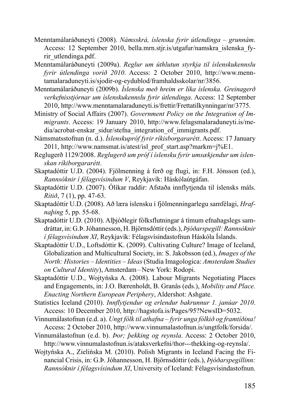- Menntamálaráðuneyti (2008). *Námsskrá, íslenska fyrir útlendinga grunnám*. Access: 12 September 2010, bella.mrn.stjr.is/utgafur/namskra\_islenska\_fyrir\_utlendinga.pdf.
- Menntamálaráðuneyti (2009a). *Reglur um úthlutun styrkja til íslenskukennslu fyrir útlendinga vorið 2010*. Access: 2 October 2010, http://www.menntamalaraduneyti.is/sjodir-og-eydublod/framhaldsskolar/nr/3856.
- Menntamálaráðuneyti (2009b). *Íslenska með hreim er líka íslenska. Greinagerð verkefnisstjórnar um íslenskukennslu fyrir útlendinga*. Access: 12 September 2010, http://www.menntamalaraduneyti.is/frettir/Frettatilkynningar/nr/3775.
- Ministry of Social Affairs (2007). *Government Policy on the Integration of Immigrants*. Access: 19 January 2010, http://www.felagsmalaraduneyti.is/media/acrobat-enskar\_sidur/stefna\_integration\_of\_immigrants.pdf.
- Námsmatsstofnun (n. d.). *Íslenskupróf fyrir ríkisborgararétt*. Access: 17 January 2011, http://www.namsmat.is/atest/isl\_prof\_start.asp?markm=j%E1.
- Reglugerð 1129/2008. *Reglugerð um próf í íslensku fyrir umsækjendur um íslenskan ríkiborgararétt*.
- Skaptadóttir U.D. (2004). Fjölmenning á ferð og flugi, in: F.H. Jónsson (ed.), *Rannsóknir í félagsvísindum V*, Reykjavík: Háskólaútgáfan.
- Skaptadóttir U.D. (2007). Ólíkar raddir: Afstaða innflytjenda til íslensks máls. *Ritið*, 7 (1), pp. 47*-*63.
- Skaptadóttir U.D. (2008). Að læra íslensku í fjölmenningarlegu samfélagi, *Hrafnaþing* 5, pp. 55*-*68.
- Skaptadóttir U.D. (2010). Alþjóðlegir fólksflutningar á tímum efnahagslegs samdráttar, in: G.Þ. Jóhannesson, H. Björnsdóttir (eds.), *Þjóðarspegill: Rannsóknir í félagsvísindum XI*, Reykjavík: Félagsvísindastofnun Háskóla Íslands.
- Skaptadóttir U.D., Loftsdóttir K. (2009). Cultivating Culture? Image of Iceland, Globalization and Multicultural Society, in: S. Jakobsson (ed.), *Images of the North: Histories – Identities – Ideas* (Studia Imagologica: *Amsterdam Studies on Cultural Identity*), Amsterdam – New York: Rodopi.
- Skaptadóttir U.D., Wojtyńska A. (2008). Labour Migrants Negotiating Places and Engagements, in: J.O. Bærenholdt, B. Granås (eds.), *Mobility and Place. Enacting Northern European Periphery*, Aldershot: Ashgate.
- Statistics Iceland (2010). *Innflytjendur og erlendur bakrunnur 1. janúar 2010*. Access: 10 December 2010, http://hagstofa.is/Pages/95?NewsID=5032.
- Vinnumálastofnun (e.d. a). *Ungt fólk til athafna fyrir unga fólkið og framtíðina!*  Access: 2 October 2010, http://www.vinnumalastofnun.is/ungtfolk/forsida/.
- Vinnumálastofnun (e.d. b). *Þor; þekking og reynsla*. Access: 2 October 2010, http://www.vinnumalastofnun.is/ataksverkefni/thor---thekking-og-reynsla/.
- Wojtyńska A., Zielińska M. (2010). Polish Migrants in Iceland Facing the Fi nancial Crisis, in: G.Þ. Jóhannesson, H. Björnsdóttir (eds.), *Þjóðarspegillinn: Rannsóknir í félagsvísindum XI*, University of Iceland: Félagsvísindastofnun.